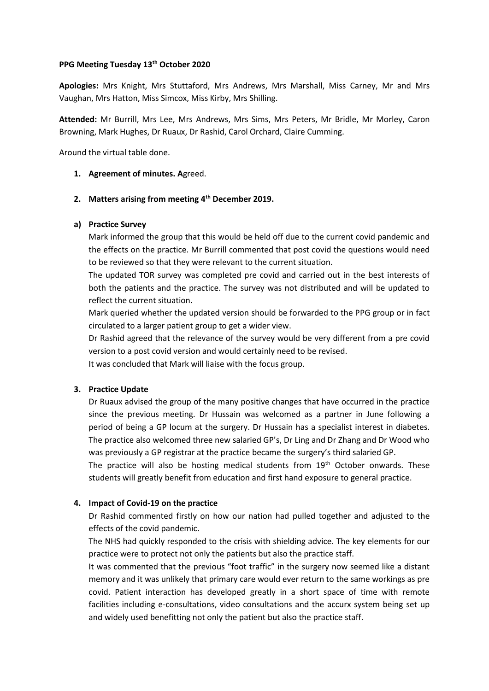#### **PPG Meeting Tuesday 13th October 2020**

**Apologies:** Mrs Knight, Mrs Stuttaford, Mrs Andrews, Mrs Marshall, Miss Carney, Mr and Mrs Vaughan, Mrs Hatton, Miss Simcox, Miss Kirby, Mrs Shilling.

**Attended:** Mr Burrill, Mrs Lee, Mrs Andrews, Mrs Sims, Mrs Peters, Mr Bridle, Mr Morley, Caron Browning, Mark Hughes, Dr Ruaux, Dr Rashid, Carol Orchard, Claire Cumming.

Around the virtual table done.

## **1. Agreement of minutes. A**greed.

## **2. Matters arising from meeting 4th December 2019.**

## **a) Practice Survey**

Mark informed the group that this would be held off due to the current covid pandemic and the effects on the practice. Mr Burrill commented that post covid the questions would need to be reviewed so that they were relevant to the current situation.

The updated TOR survey was completed pre covid and carried out in the best interests of both the patients and the practice. The survey was not distributed and will be updated to reflect the current situation.

Mark queried whether the updated version should be forwarded to the PPG group or in fact circulated to a larger patient group to get a wider view.

Dr Rashid agreed that the relevance of the survey would be very different from a pre covid version to a post covid version and would certainly need to be revised.

It was concluded that Mark will liaise with the focus group.

# **3. Practice Update**

Dr Ruaux advised the group of the many positive changes that have occurred in the practice since the previous meeting. Dr Hussain was welcomed as a partner in June following a period of being a GP locum at the surgery. Dr Hussain has a specialist interest in diabetes. The practice also welcomed three new salaried GP's, Dr Ling and Dr Zhang and Dr Wood who was previously a GP registrar at the practice became the surgery's third salaried GP.

The practice will also be hosting medical students from  $19<sup>th</sup>$  October onwards. These students will greatly benefit from education and first hand exposure to general practice.

# **4. Impact of Covid-19 on the practice**

Dr Rashid commented firstly on how our nation had pulled together and adjusted to the effects of the covid pandemic.

The NHS had quickly responded to the crisis with shielding advice. The key elements for our practice were to protect not only the patients but also the practice staff.

It was commented that the previous "foot traffic" in the surgery now seemed like a distant memory and it was unlikely that primary care would ever return to the same workings as pre covid. Patient interaction has developed greatly in a short space of time with remote facilities including e-consultations, video consultations and the accurx system being set up and widely used benefitting not only the patient but also the practice staff.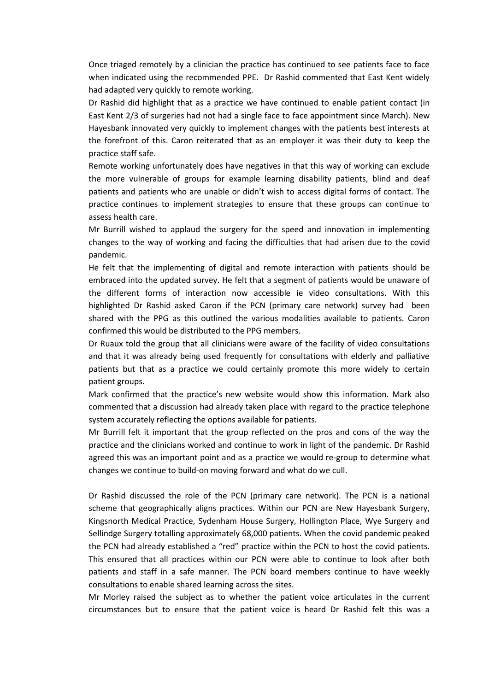Once triaged remotely by a clinician the practice has continued to see patients face to face when indicated using the recommended PPE. Dr Rashid commented that East Kent widely had adapted very quickly to remote working.

Dr Rashid did highlight that as a practice we have continued to enable patient contact (in East Kent 2/3 of surgeries had not had a single face to face appointment since March). New Hayesbank innovated very quickly to implement changes with the patients best interests at the forefront of this. Caron reiterated that as an employer it was their duty to keep the practice staff safe.

Remote working unfortunately does have negatives in that this way of working can exclude the more vulnerable of groups for example learning disability patients, blind and deaf patients and patients who are unable or didn't wish to access digital forms of contact. The practice continues to implement strategies to ensure that these groups can continue to assess health care.

Mr Burrill wished to applaud the surgery for the speed and innovation in implementing changes to the way of working and facing the difficulties that had arisen due to the covid pandemic.

He felt that the implementing of digital and remote interaction with patients should be embraced into the updated survey. He felt that a segment of patients would be unaware of the different forms of interaction now accessible ie video consultations. With this highlighted Dr Rashid asked Caron if the PCN (primary care network) survey had been shared with the PPG as this outlined the various modalities available to patients. Caron confirmed this would be distributed to the PPG members.

Dr Ruaux told the group that all clinicians were aware of the facility of video consultations and that it was already being used frequently for consultations with elderly and palliative patients but that as a practice we could certainly promote this more widely to certain patient groups.

Mark confirmed that the practice's new website would show this information. Mark also commented that a discussion had already taken place with regard to the practice telephone system accurately reflecting the options available for patients.

Mr Burrill felt it important that the group reflected on the pros and cons of the way the practice and the clinicians worked and continue to work in light of the pandemic. Dr Rashid agreed this was an important point and as a practice we would re-group to determine what changes we continue to build-on moving forward and what do we cull.

Dr Rashid discussed the role of the PCN (primary care network). The PCN is a national scheme that geographically aligns practices. Within our PCN are New Hayesbank Surgery, Kingsnorth Medical Practice, Sydenham House Surgery, Hollington Place, Wye Surgery and Sellindge Surgery totalling approximately 68,000 patients. When the covid pandemic peaked the PCN had already established a "red" practice within the PCN to host the covid patients. This ensured that all practices within our PCN were able to continue to look after both patients and staff in a safe manner. The PCN board members continue to have weekly consultations to enable shared learning across the sites.

Mr Morley raised the subject as to whether the patient voice articulates in the current circumstances but to ensure that the patient voice is heard Dr Rashid felt this was a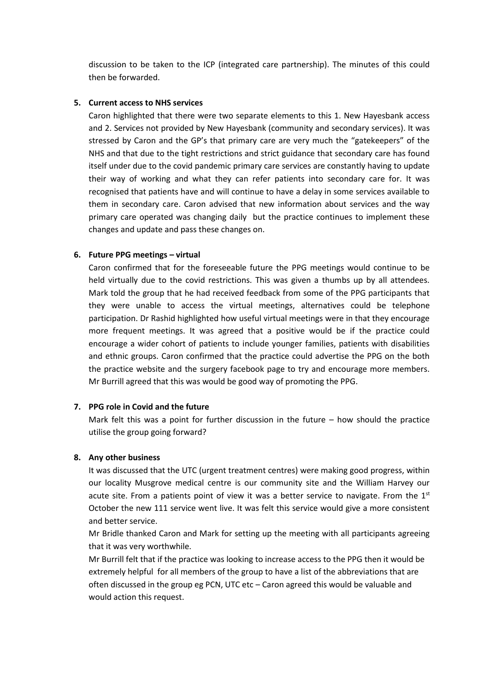discussion to be taken to the ICP (integrated care partnership). The minutes of this could then be forwarded.

### **5. Current access to NHS services**

Caron highlighted that there were two separate elements to this 1. New Hayesbank access and 2. Services not provided by New Hayesbank (community and secondary services). It was stressed by Caron and the GP's that primary care are very much the "gatekeepers" of the NHS and that due to the tight restrictions and strict guidance that secondary care has found itself under due to the covid pandemic primary care services are constantly having to update their way of working and what they can refer patients into secondary care for. It was recognised that patients have and will continue to have a delay in some services available to them in secondary care. Caron advised that new information about services and the way primary care operated was changing daily but the practice continues to implement these changes and update and pass these changes on.

### **6. Future PPG meetings – virtual**

Caron confirmed that for the foreseeable future the PPG meetings would continue to be held virtually due to the covid restrictions. This was given a thumbs up by all attendees. Mark told the group that he had received feedback from some of the PPG participants that they were unable to access the virtual meetings, alternatives could be telephone participation. Dr Rashid highlighted how useful virtual meetings were in that they encourage more frequent meetings. It was agreed that a positive would be if the practice could encourage a wider cohort of patients to include younger families, patients with disabilities and ethnic groups. Caron confirmed that the practice could advertise the PPG on the both the practice website and the surgery facebook page to try and encourage more members. Mr Burrill agreed that this was would be good way of promoting the PPG.

### **7. PPG role in Covid and the future**

Mark felt this was a point for further discussion in the future – how should the practice utilise the group going forward?

#### **8. Any other business**

It was discussed that the UTC (urgent treatment centres) were making good progress, within our locality Musgrove medical centre is our community site and the William Harvey our acute site. From a patients point of view it was a better service to navigate. From the  $1<sup>st</sup>$ October the new 111 service went live. It was felt this service would give a more consistent and better service.

Mr Bridle thanked Caron and Mark for setting up the meeting with all participants agreeing that it was very worthwhile.

Mr Burrill felt that if the practice was looking to increase access to the PPG then it would be extremely helpful for all members of the group to have a list of the abbreviations that are often discussed in the group eg PCN, UTC etc – Caron agreed this would be valuable and would action this request.